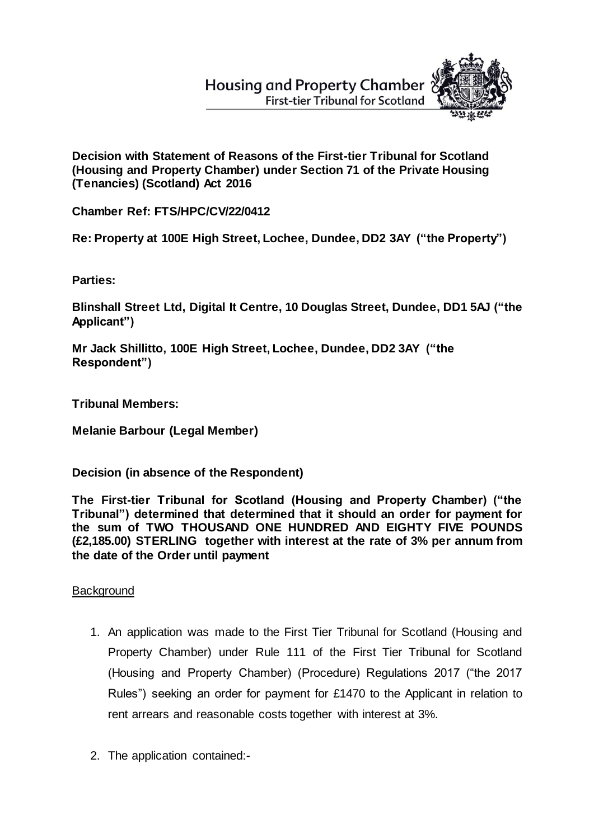# **Housing and Property Chamber First-tier Tribunal for Scotland**



**Decision with Statement of Reasons of the First-tier Tribunal for Scotland (Housing and Property Chamber) under Section 71 of the Private Housing (Tenancies) (Scotland) Act 2016**

**Chamber Ref: FTS/HPC/CV/22/0412**

**Re: Property at 100E High Street, Lochee, Dundee, DD2 3AY ("the Property")**

**Parties:**

**Blinshall Street Ltd, Digital It Centre, 10 Douglas Street, Dundee, DD1 5AJ ("the Applicant")**

**Mr Jack Shillitto, 100E High Street, Lochee, Dundee, DD2 3AY ("the Respondent")** 

**Tribunal Members:**

**Melanie Barbour (Legal Member)**

**Decision (in absence of the Respondent)**

**The First-tier Tribunal for Scotland (Housing and Property Chamber) ("the Tribunal") determined that determined that it should an order for payment for the sum of TWO THOUSAND ONE HUNDRED AND EIGHTY FIVE POUNDS (£2,185.00) STERLING together with interest at the rate of 3% per annum from the date of the Order until payment**

## **Background**

- 1. An application was made to the First Tier Tribunal for Scotland (Housing and Property Chamber) under Rule 111 of the First Tier Tribunal for Scotland (Housing and Property Chamber) (Procedure) Regulations 2017 ("the 2017 Rules") seeking an order for payment for £1470 to the Applicant in relation to rent arrears and reasonable costs together with interest at 3%.
- 2. The application contained:-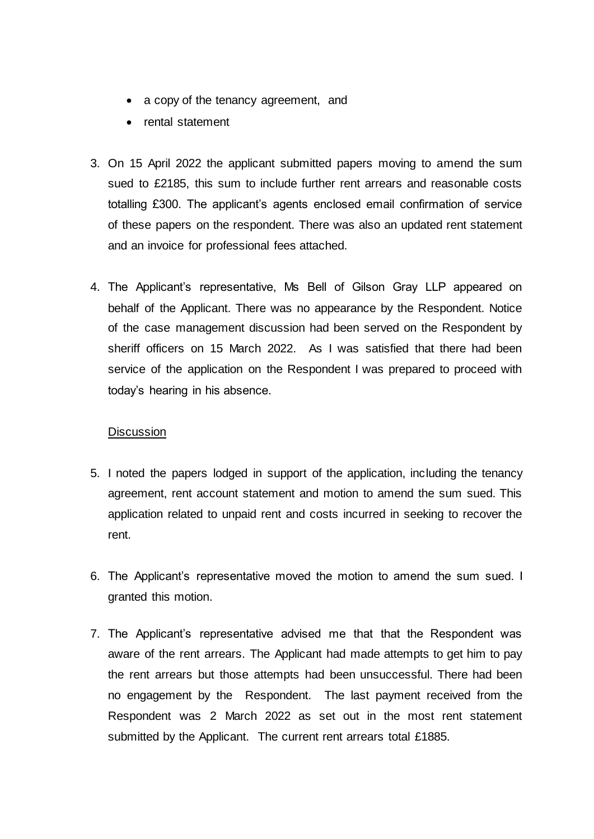- a copy of the tenancy agreement, and
- rental statement
- 3. On 15 April 2022 the applicant submitted papers moving to amend the sum sued to £2185, this sum to include further rent arrears and reasonable costs totalling £300. The applicant's agents enclosed email confirmation of service of these papers on the respondent. There was also an updated rent statement and an invoice for professional fees attached.
- 4. The Applicant's representative, Ms Bell of Gilson Gray LLP appeared on behalf of the Applicant. There was no appearance by the Respondent. Notice of the case management discussion had been served on the Respondent by sheriff officers on 15 March 2022. As I was satisfied that there had been service of the application on the Respondent I was prepared to proceed with today's hearing in his absence.

#### **Discussion**

- 5. I noted the papers lodged in support of the application, including the tenancy agreement, rent account statement and motion to amend the sum sued. This application related to unpaid rent and costs incurred in seeking to recover the rent.
- 6. The Applicant's representative moved the motion to amend the sum sued. I granted this motion.
- 7. The Applicant's representative advised me that that the Respondent was aware of the rent arrears. The Applicant had made attempts to get him to pay the rent arrears but those attempts had been unsuccessful. There had been no engagement by the Respondent. The last payment received from the Respondent was 2 March 2022 as set out in the most rent statement submitted by the Applicant. The current rent arrears total £1885.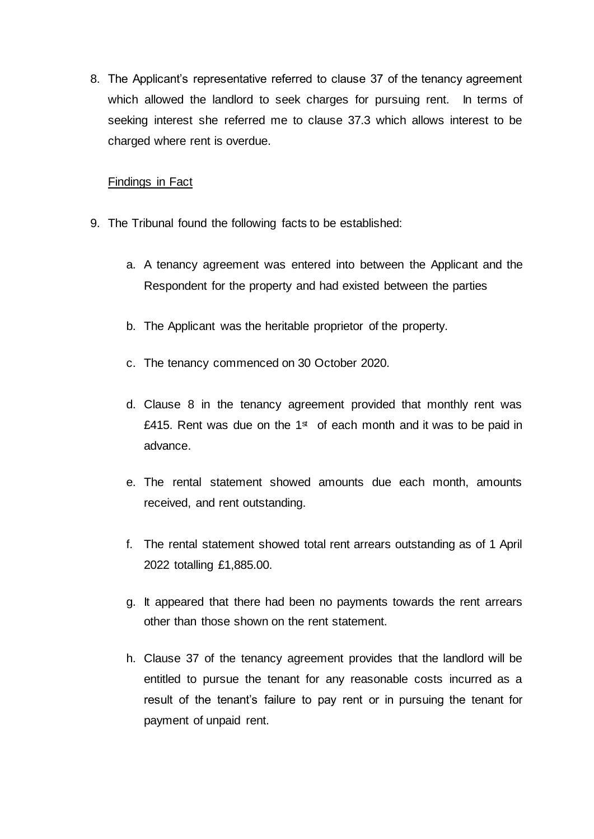8. The Applicant's representative referred to clause 37 of the tenancy agreement which allowed the landlord to seek charges for pursuing rent. In terms of seeking interest she referred me to clause 37.3 which allows interest to be charged where rent is overdue.

#### Findings in Fact

- 9. The Tribunal found the following facts to be established:
	- a. A tenancy agreement was entered into between the Applicant and the Respondent for the property and had existed between the parties
	- b. The Applicant was the heritable proprietor of the property.
	- c. The tenancy commenced on 30 October 2020.
	- d. Clause 8 in the tenancy agreement provided that monthly rent was £415. Rent was due on the 1 $\text{st}$  of each month and it was to be paid in advance.
	- e. The rental statement showed amounts due each month, amounts received, and rent outstanding.
	- f. The rental statement showed total rent arrears outstanding as of 1 April 2022 totalling £1,885.00.
	- g. It appeared that there had been no payments towards the rent arrears other than those shown on the rent statement.
	- h. Clause 37 of the tenancy agreement provides that the landlord will be entitled to pursue the tenant for any reasonable costs incurred as a result of the tenant's failure to pay rent or in pursuing the tenant for payment of unpaid rent.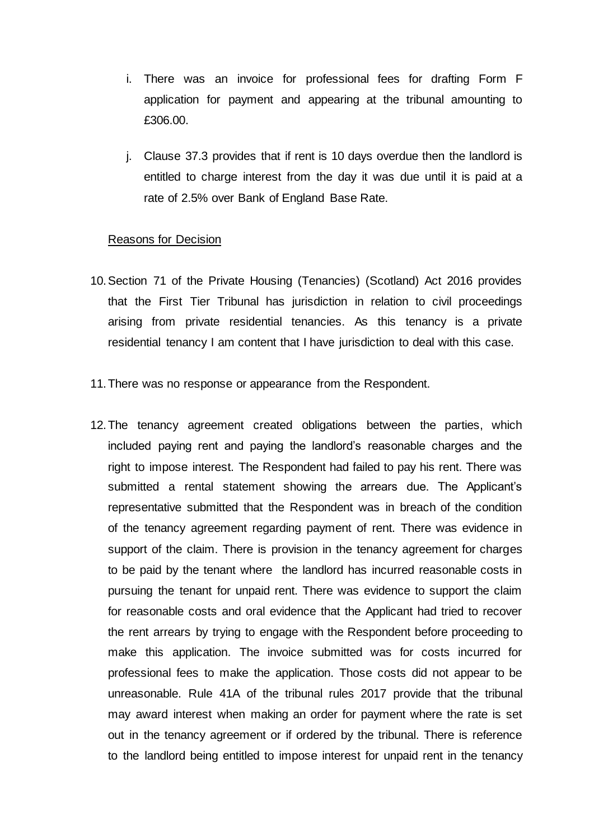- i. There was an invoice for professional fees for drafting Form F application for payment and appearing at the tribunal amounting to £306.00.
- j. Clause 37.3 provides that if rent is 10 days overdue then the landlord is entitled to charge interest from the day it was due until it is paid at a rate of 2.5% over Bank of England Base Rate.

#### Reasons for Decision

- 10.Section 71 of the Private Housing (Tenancies) (Scotland) Act 2016 provides that the First Tier Tribunal has jurisdiction in relation to civil proceedings arising from private residential tenancies. As this tenancy is a private residential tenancy I am content that I have jurisdiction to deal with this case.
- 11.There was no response or appearance from the Respondent.
- 12.The tenancy agreement created obligations between the parties, which included paying rent and paying the landlord's reasonable charges and the right to impose interest. The Respondent had failed to pay his rent. There was submitted a rental statement showing the arrears due. The Applicant's representative submitted that the Respondent was in breach of the condition of the tenancy agreement regarding payment of rent. There was evidence in support of the claim. There is provision in the tenancy agreement for charges to be paid by the tenant where the landlord has incurred reasonable costs in pursuing the tenant for unpaid rent. There was evidence to support the claim for reasonable costs and oral evidence that the Applicant had tried to recover the rent arrears by trying to engage with the Respondent before proceeding to make this application. The invoice submitted was for costs incurred for professional fees to make the application. Those costs did not appear to be unreasonable. Rule 41A of the tribunal rules 2017 provide that the tribunal may award interest when making an order for payment where the rate is set out in the tenancy agreement or if ordered by the tribunal. There is reference to the landlord being entitled to impose interest for unpaid rent in the tenancy